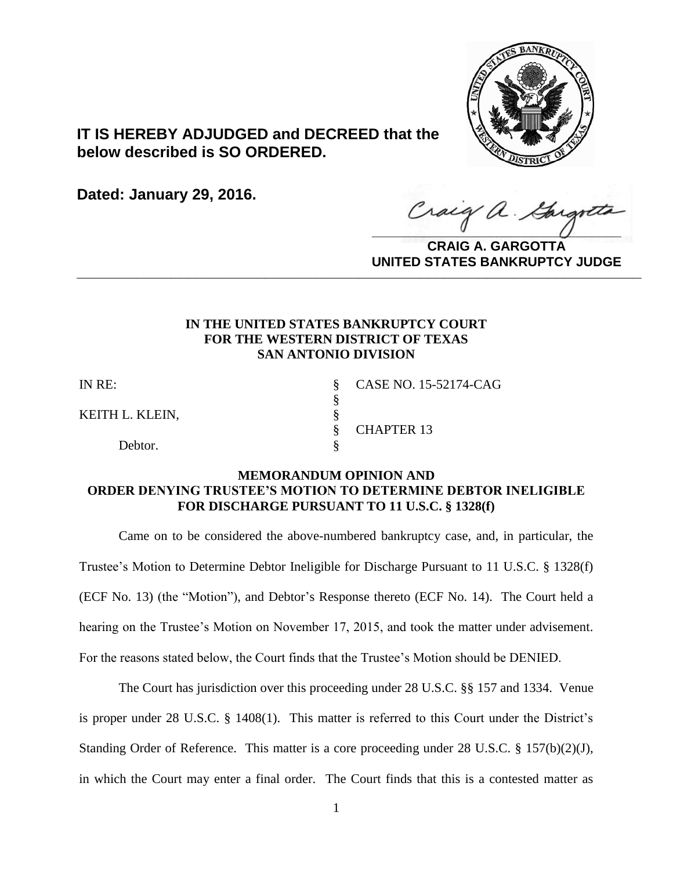

# **IT IS HEREBY ADJUDGED and DECREED that the below described is SO ORDERED.**

**Dated: January 29, 2016.**

Craig a Gargotta

**CRAIG A. GARGOTTA UNITED STATES BANKRUPTCY JUDGE PRITED DIATED BARRACT TOT 00DCE** 

### **IN THE UNITED STATES BANKRUPTCY COURT FOR THE WESTERN DISTRICT OF TEXAS SAN ANTONIO DIVISION**

§

KEITH L. KLEIN,

Debtor.

IN RE: § CASE NO. 15-52174-CAG § CHAPTER 13

## **MEMORANDUM OPINION AND ORDER DENYING TRUSTEE'S MOTION TO DETERMINE DEBTOR INELIGIBLE FOR DISCHARGE PURSUANT TO 11 U.S.C. § 1328(f)**

Came on to be considered the above-numbered bankruptcy case, and, in particular, the Trustee's Motion to Determine Debtor Ineligible for Discharge Pursuant to 11 U.S.C. § 1328(f) (ECF No. 13) (the "Motion"), and Debtor's Response thereto (ECF No. 14). The Court held a hearing on the Trustee's Motion on November 17, 2015, and took the matter under advisement. For the reasons stated below, the Court finds that the Trustee's Motion should be DENIED.

The Court has jurisdiction over this proceeding under 28 U.S.C. §§ 157 and 1334. Venue is proper under 28 U.S.C. § 1408(1). This matter is referred to this Court under the District's Standing Order of Reference. This matter is a core proceeding under 28 U.S.C. § 157(b)(2)(J), in which the Court may enter a final order. The Court finds that this is a contested matter as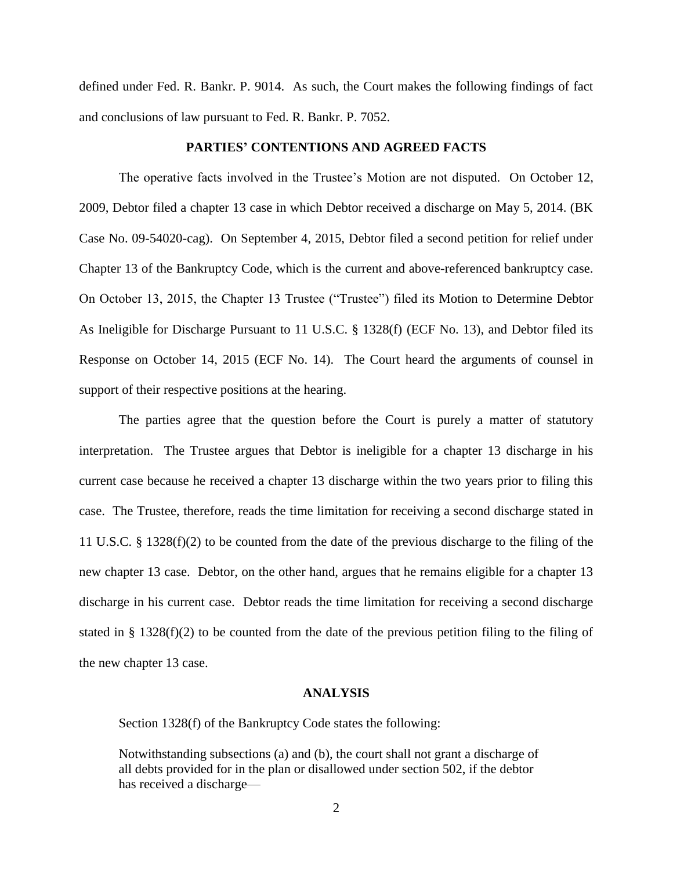defined under Fed. R. Bankr. P. 9014. As such, the Court makes the following findings of fact and conclusions of law pursuant to Fed. R. Bankr. P. 7052.

### **PARTIES' CONTENTIONS AND AGREED FACTS**

The operative facts involved in the Trustee's Motion are not disputed. On October 12, 2009, Debtor filed a chapter 13 case in which Debtor received a discharge on May 5, 2014. (BK Case No. 09-54020-cag). On September 4, 2015, Debtor filed a second petition for relief under Chapter 13 of the Bankruptcy Code, which is the current and above-referenced bankruptcy case. On October 13, 2015, the Chapter 13 Trustee ("Trustee") filed its Motion to Determine Debtor As Ineligible for Discharge Pursuant to 11 U.S.C. § 1328(f) (ECF No. 13), and Debtor filed its Response on October 14, 2015 (ECF No. 14). The Court heard the arguments of counsel in support of their respective positions at the hearing.

The parties agree that the question before the Court is purely a matter of statutory interpretation. The Trustee argues that Debtor is ineligible for a chapter 13 discharge in his current case because he received a chapter 13 discharge within the two years prior to filing this case. The Trustee, therefore, reads the time limitation for receiving a second discharge stated in 11 U.S.C. § 1328(f)(2) to be counted from the date of the previous discharge to the filing of the new chapter 13 case. Debtor, on the other hand, argues that he remains eligible for a chapter 13 discharge in his current case. Debtor reads the time limitation for receiving a second discharge stated in § 1328(f)(2) to be counted from the date of the previous petition filing to the filing of the new chapter 13 case.

#### **ANALYSIS**

Section 1328(f) of the Bankruptcy Code states the following:

Notwithstanding subsections (a) and (b), the court shall not grant a discharge of all debts provided for in the plan or disallowed under section 502, if the debtor has received a discharge—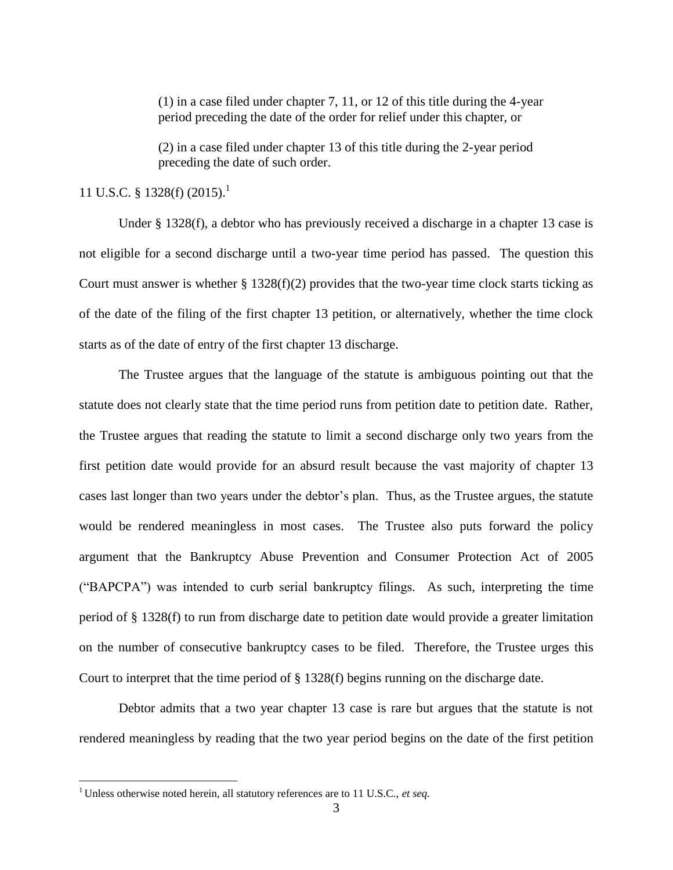(1) in a case filed under chapter 7, 11, or 12 of this title during the 4-year period preceding the date of the order for relief under this chapter, or

(2) in a case filed under chapter 13 of this title during the 2-year period preceding the date of such order.

## 11 U.S.C. § 1328(f) (2015). 1

Under § 1328(f), a debtor who has previously received a discharge in a chapter 13 case is not eligible for a second discharge until a two-year time period has passed. The question this Court must answer is whether  $\S 1328(f)(2)$  provides that the two-year time clock starts ticking as of the date of the filing of the first chapter 13 petition, or alternatively, whether the time clock starts as of the date of entry of the first chapter 13 discharge.

The Trustee argues that the language of the statute is ambiguous pointing out that the statute does not clearly state that the time period runs from petition date to petition date. Rather, the Trustee argues that reading the statute to limit a second discharge only two years from the first petition date would provide for an absurd result because the vast majority of chapter 13 cases last longer than two years under the debtor's plan. Thus, as the Trustee argues, the statute would be rendered meaningless in most cases. The Trustee also puts forward the policy argument that the Bankruptcy Abuse Prevention and Consumer Protection Act of 2005 ("BAPCPA") was intended to curb serial bankruptcy filings. As such, interpreting the time period of § 1328(f) to run from discharge date to petition date would provide a greater limitation on the number of consecutive bankruptcy cases to be filed. Therefore, the Trustee urges this Court to interpret that the time period of § 1328(f) begins running on the discharge date.

Debtor admits that a two year chapter 13 case is rare but argues that the statute is not rendered meaningless by reading that the two year period begins on the date of the first petition

 $\overline{a}$ 

<sup>&</sup>lt;sup>1</sup> Unless otherwise noted herein, all statutory references are to 11 U.S.C., et seq.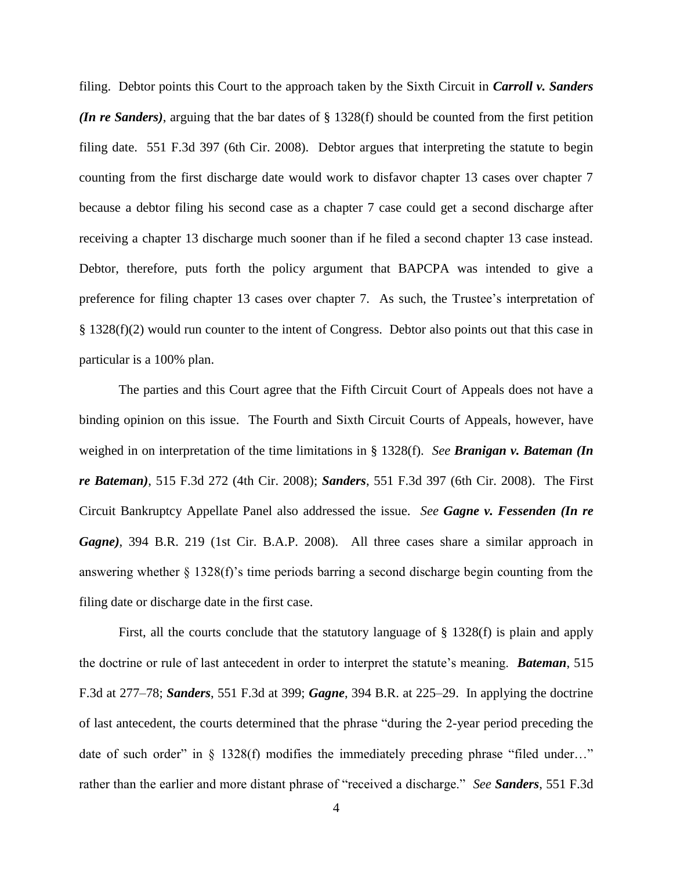filing. Debtor points this Court to the approach taken by the Sixth Circuit in *Carroll v. Sanders (In re Sanders)*, arguing that the bar dates of § 1328(f) should be counted from the first petition filing date. 551 F.3d 397 (6th Cir. 2008). Debtor argues that interpreting the statute to begin counting from the first discharge date would work to disfavor chapter 13 cases over chapter 7 because a debtor filing his second case as a chapter 7 case could get a second discharge after receiving a chapter 13 discharge much sooner than if he filed a second chapter 13 case instead. Debtor, therefore, puts forth the policy argument that BAPCPA was intended to give a preference for filing chapter 13 cases over chapter 7. As such, the Trustee's interpretation of § 1328(f)(2) would run counter to the intent of Congress. Debtor also points out that this case in particular is a 100% plan.

The parties and this Court agree that the Fifth Circuit Court of Appeals does not have a binding opinion on this issue. The Fourth and Sixth Circuit Courts of Appeals, however, have weighed in on interpretation of the time limitations in § 1328(f). *See Branigan v. Bateman (In re Bateman)*, 515 F.3d 272 (4th Cir. 2008); *Sanders*, 551 F.3d 397 (6th Cir. 2008). The First Circuit Bankruptcy Appellate Panel also addressed the issue. *See Gagne v. Fessenden (In re Gagne)*, 394 B.R. 219 (1st Cir. B.A.P. 2008).All three cases share a similar approach in answering whether § 1328(f)'s time periods barring a second discharge begin counting from the filing date or discharge date in the first case.

First, all the courts conclude that the statutory language of § 1328(f) is plain and apply the doctrine or rule of last antecedent in order to interpret the statute's meaning. *Bateman*, 515 F.3d at 277–78; *Sanders*, 551 F.3d at 399; *Gagne*, 394 B.R. at 225–29. In applying the doctrine of last antecedent, the courts determined that the phrase "during the 2-year period preceding the date of such order" in  $\S$  1328(f) modifies the immediately preceding phrase "filed under..." rather than the earlier and more distant phrase of "received a discharge." *See Sanders*, 551 F.3d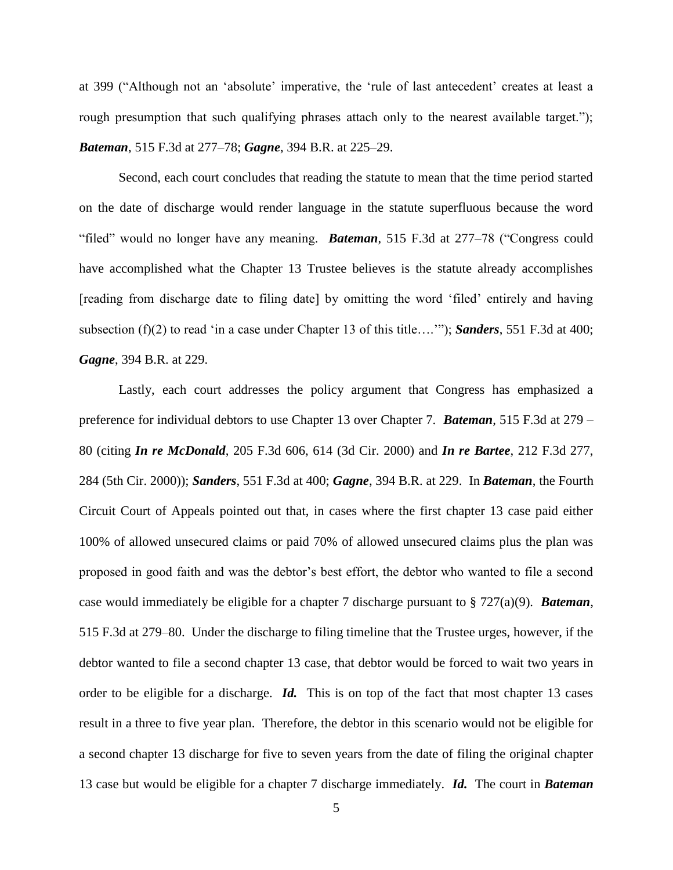at 399 ("Although not an 'absolute' imperative, the 'rule of last antecedent' creates at least a rough presumption that such qualifying phrases attach only to the nearest available target."); *Bateman*, 515 F.3d at 277–78; *Gagne*, 394 B.R. at 225–29.

Second, each court concludes that reading the statute to mean that the time period started on the date of discharge would render language in the statute superfluous because the word "filed" would no longer have any meaning. *Bateman*, 515 F.3d at 277–78 ("Congress could have accomplished what the Chapter 13 Trustee believes is the statute already accomplishes [reading from discharge date to filing date] by omitting the word 'filed' entirely and having subsection (f)(2) to read 'in a case under Chapter 13 of this title….'"); *Sanders*, 551 F.3d at 400; *Gagne*, 394 B.R. at 229.

Lastly, each court addresses the policy argument that Congress has emphasized a preference for individual debtors to use Chapter 13 over Chapter 7. *Bateman*, 515 F.3d at 279 – 80 (citing *In re McDonald*, 205 F.3d 606, 614 (3d Cir. 2000) and *In re Bartee*, 212 F.3d 277, 284 (5th Cir. 2000)); *Sanders*, 551 F.3d at 400; *Gagne*, 394 B.R. at 229. In *Bateman*, the Fourth Circuit Court of Appeals pointed out that, in cases where the first chapter 13 case paid either 100% of allowed unsecured claims or paid 70% of allowed unsecured claims plus the plan was proposed in good faith and was the debtor's best effort, the debtor who wanted to file a second case would immediately be eligible for a chapter 7 discharge pursuant to § 727(a)(9). *Bateman*, 515 F.3d at 279–80. Under the discharge to filing timeline that the Trustee urges, however, if the debtor wanted to file a second chapter 13 case, that debtor would be forced to wait two years in order to be eligible for a discharge. *Id.* This is on top of the fact that most chapter 13 cases result in a three to five year plan. Therefore, the debtor in this scenario would not be eligible for a second chapter 13 discharge for five to seven years from the date of filing the original chapter 13 case but would be eligible for a chapter 7 discharge immediately. *Id.* The court in *Bateman*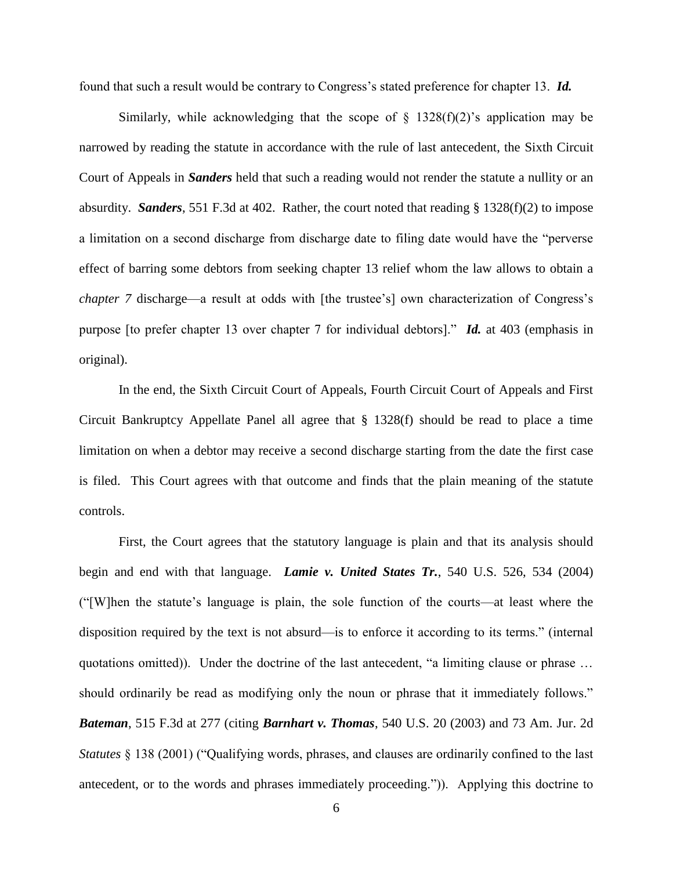found that such a result would be contrary to Congress's stated preference for chapter 13. *Id.*

Similarly, while acknowledging that the scope of  $\S$  1328(f)(2)'s application may be narrowed by reading the statute in accordance with the rule of last antecedent, the Sixth Circuit Court of Appeals in *Sanders* held that such a reading would not render the statute a nullity or an absurdity. *Sanders*, 551 F.3d at 402. Rather, the court noted that reading § 1328(f)(2) to impose a limitation on a second discharge from discharge date to filing date would have the "perverse effect of barring some debtors from seeking chapter 13 relief whom the law allows to obtain a *chapter 7* discharge—a result at odds with [the trustee's] own characterization of Congress's purpose [to prefer chapter 13 over chapter 7 for individual debtors]." *Id.* at 403 (emphasis in original).

In the end, the Sixth Circuit Court of Appeals, Fourth Circuit Court of Appeals and First Circuit Bankruptcy Appellate Panel all agree that § 1328(f) should be read to place a time limitation on when a debtor may receive a second discharge starting from the date the first case is filed. This Court agrees with that outcome and finds that the plain meaning of the statute controls.

First, the Court agrees that the statutory language is plain and that its analysis should begin and end with that language. *Lamie v. United States Tr.*, 540 U.S. 526, 534 (2004) ("[W]hen the statute's language is plain, the sole function of the courts—at least where the disposition required by the text is not absurd—is to enforce it according to its terms." (internal quotations omitted)). Under the doctrine of the last antecedent, "a limiting clause or phrase … should ordinarily be read as modifying only the noun or phrase that it immediately follows." *Bateman*, 515 F.3d at 277 (citing *Barnhart v. Thomas*, 540 U.S. 20 (2003) and 73 Am. Jur. 2d *Statutes* § 138 (2001) ("Qualifying words, phrases, and clauses are ordinarily confined to the last antecedent, or to the words and phrases immediately proceeding.")). Applying this doctrine to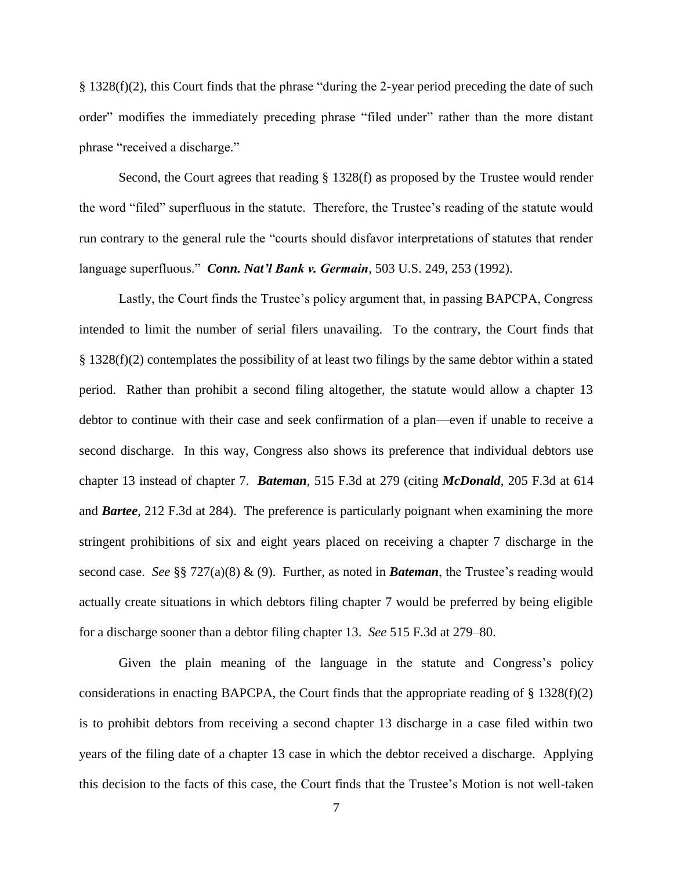§ 1328(f)(2), this Court finds that the phrase "during the 2-year period preceding the date of such order" modifies the immediately preceding phrase "filed under" rather than the more distant phrase "received a discharge."

Second, the Court agrees that reading § 1328(f) as proposed by the Trustee would render the word "filed" superfluous in the statute. Therefore, the Trustee's reading of the statute would run contrary to the general rule the "courts should disfavor interpretations of statutes that render language superfluous." *Conn. Nat'l Bank v. Germain*, 503 U.S. 249, 253 (1992).

Lastly, the Court finds the Trustee's policy argument that, in passing BAPCPA, Congress intended to limit the number of serial filers unavailing. To the contrary, the Court finds that § 1328(f)(2) contemplates the possibility of at least two filings by the same debtor within a stated period. Rather than prohibit a second filing altogether, the statute would allow a chapter 13 debtor to continue with their case and seek confirmation of a plan—even if unable to receive a second discharge. In this way, Congress also shows its preference that individual debtors use chapter 13 instead of chapter 7. *Bateman*, 515 F.3d at 279 (citing *McDonald*, 205 F.3d at 614 and *Bartee*, 212 F.3d at 284). The preference is particularly poignant when examining the more stringent prohibitions of six and eight years placed on receiving a chapter 7 discharge in the second case. *See* §§ 727(a)(8) & (9). Further, as noted in *Bateman*, the Trustee's reading would actually create situations in which debtors filing chapter 7 would be preferred by being eligible for a discharge sooner than a debtor filing chapter 13. *See* 515 F.3d at 279–80.

Given the plain meaning of the language in the statute and Congress's policy considerations in enacting BAPCPA, the Court finds that the appropriate reading of  $\S 1328(f)(2)$ is to prohibit debtors from receiving a second chapter 13 discharge in a case filed within two years of the filing date of a chapter 13 case in which the debtor received a discharge. Applying this decision to the facts of this case, the Court finds that the Trustee's Motion is not well-taken